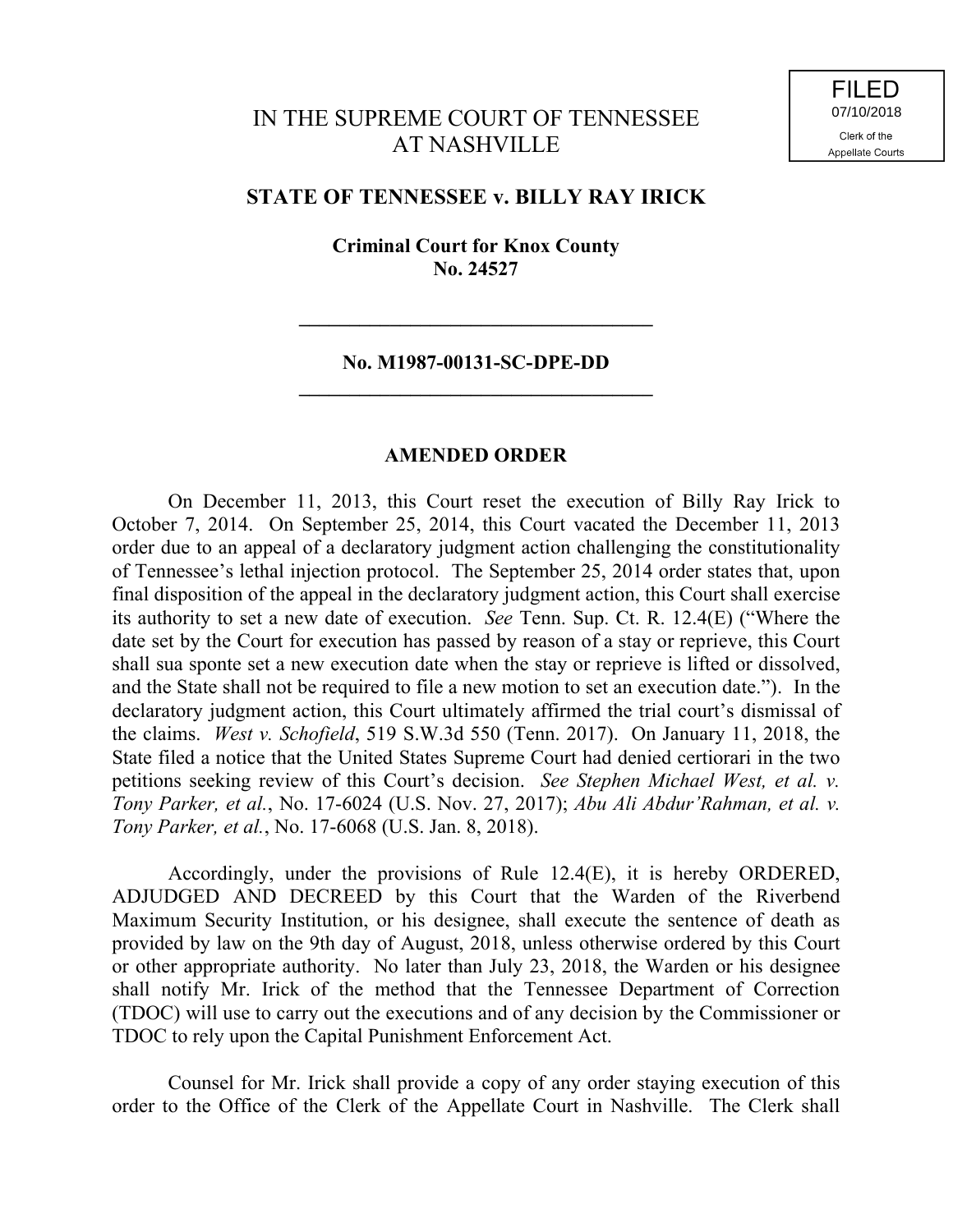## IN THE SUPREME COURT OF TENNESSEE AT NASHVILLE

## **STATE OF TENNESSEE v. BILLY RAY IRICK**

**Criminal Court for Knox County No. 24527**

## **No. M1987-00131-SC-DPE-DD \_\_\_\_\_\_\_\_\_\_\_\_\_\_\_\_\_\_\_\_\_\_\_\_\_\_\_\_\_\_\_\_\_\_\_**

**\_\_\_\_\_\_\_\_\_\_\_\_\_\_\_\_\_\_\_\_\_\_\_\_\_\_\_\_\_\_\_\_\_\_\_**

## **AMENDED ORDER**

On December 11, 2013, this Court reset the execution of Billy Ray Irick to October 7, 2014. On September 25, 2014, this Court vacated the December 11, 2013 order due to an appeal of a declaratory judgment action challenging the constitutionality of Tennessee's lethal injection protocol. The September 25, 2014 order states that, upon final disposition of the appeal in the declaratory judgment action, this Court shall exercise its authority to set a new date of execution. *See* Tenn. Sup. Ct. R. 12.4(E) ("Where the date set by the Court for execution has passed by reason of a stay or reprieve, this Court shall sua sponte set a new execution date when the stay or reprieve is lifted or dissolved, and the State shall not be required to file a new motion to set an execution date."). In the declaratory judgment action, this Court ultimately affirmed the trial court's dismissal of the claims. *West v. Schofield*, 519 S.W.3d 550 (Tenn. 2017). On January 11, 2018, the State filed a notice that the United States Supreme Court had denied certiorari in the two petitions seeking review of this Court's decision. *See Stephen Michael West, et al. v. Tony Parker, et al.*, No. 17-6024 (U.S. Nov. 27, 2017); *Abu Ali Abdur'Rahman, et al. v. Tony Parker, et al.*, No. 17-6068 (U.S. Jan. 8, 2018).

Accordingly, under the provisions of Rule 12.4(E), it is hereby ORDERED, ADJUDGED AND DECREED by this Court that the Warden of the Riverbend Maximum Security Institution, or his designee, shall execute the sentence of death as provided by law on the 9th day of August, 2018, unless otherwise ordered by this Court or other appropriate authority. No later than July 23, 2018, the Warden or his designee shall notify Mr. Irick of the method that the Tennessee Department of Correction (TDOC) will use to carry out the executions and of any decision by the Commissioner or TDOC to rely upon the Capital Punishment Enforcement Act.

Counsel for Mr. Irick shall provide a copy of any order staying execution of this order to the Office of the Clerk of the Appellate Court in Nashville. The Clerk shall